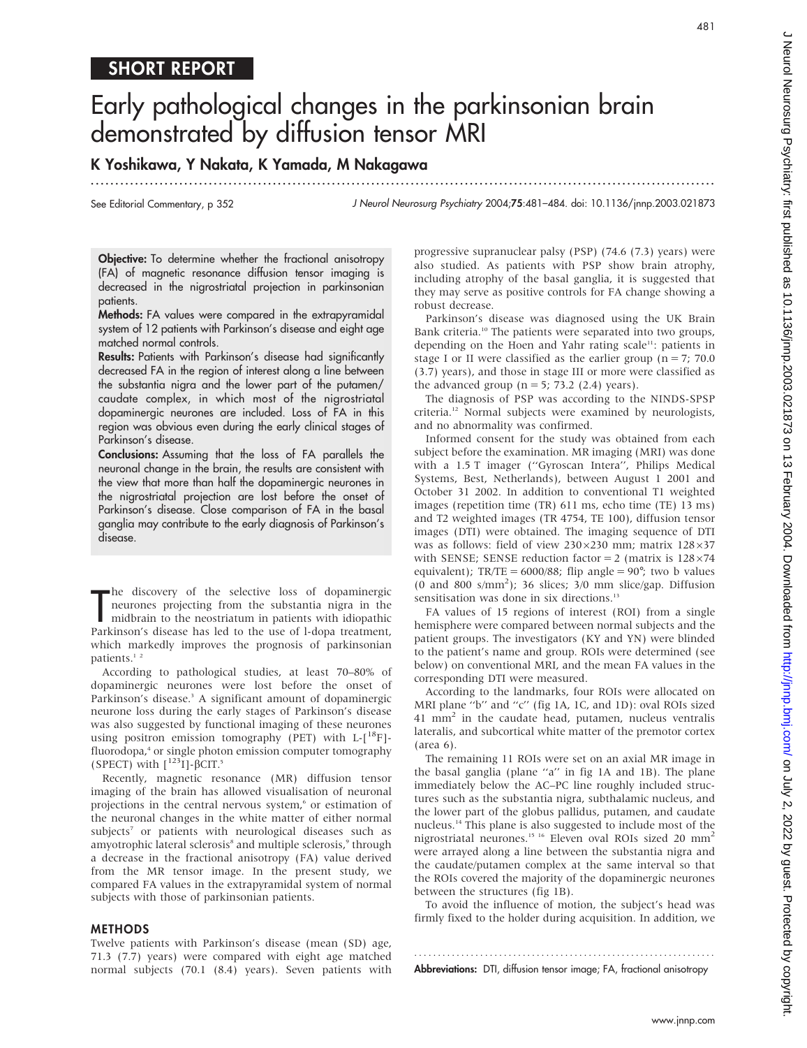# SHORT REPORT

# Early pathological changes in the parkinsonian brain demonstrated by diffusion tensor MRI

.............................................................................................................................. .

# K Yoshikawa, Y Nakata, K Yamada, M Nakagawa

See Editorial Commentary, p 352

J Neurol Neurosurg Psychiatry 2004;75:481–484. doi: 10.1136/jnnp.2003.021873

Objective: To determine whether the fractional anisotropy (FA) of magnetic resonance diffusion tensor imaging is decreased in the nigrostriatal projection in parkinsonian patients.

Methods: FA values were compared in the extrapyramidal system of 12 patients with Parkinson's disease and eight age matched normal controls.

Results: Patients with Parkinson's disease had significantly decreased FA in the region of interest along a line between the substantia nigra and the lower part of the putamen/ caudate complex, in which most of the nigrostriatal dopaminergic neurones are included. Loss of FA in this region was obvious even during the early clinical stages of Parkinson's disease.

Conclusions: Assuming that the loss of FA parallels the neuronal change in the brain, the results are consistent with the view that more than half the dopaminergic neurones in the nigrostriatal projection are lost before the onset of Parkinson's disease. Close comparison of FA in the basal ganglia may contribute to the early diagnosis of Parkinson's disease.

The discovery of the selective loss of dopaminergic<br>
meurones projecting from the substantia nigra in the<br>
midbrain to the neostriatum in patients with idiopathic<br>
Parkinson's disease has led to the use of l-dopa treatment he discovery of the selective loss of dopaminergic neurones projecting from the substantia nigra in the midbrain to the neostriatum in patients with idiopathic which markedly improves the prognosis of parkinsonian patients.<sup>1</sup><sup>2</sup>

According to pathological studies, at least 70–80% of dopaminergic neurones were lost before the onset of Parkinson's disease.<sup>3</sup> A significant amount of dopaminergic neurone loss during the early stages of Parkinson's disease was also suggested by functional imaging of these neurones using positron emission tomography (PET) with  $L-[{}^{18}F]-{}$ fluorodopa,<sup>4</sup> or single photon emission computer tomography (SPECT) with  $\int^{123}$ I]- $\beta$ CIT.<sup>5</sup>

Recently, magnetic resonance (MR) diffusion tensor imaging of the brain has allowed visualisation of neuronal projections in the central nervous system,<sup>6</sup> or estimation of the neuronal changes in the white matter of either normal subjects<sup>7</sup> or patients with neurological diseases such as amyotrophic lateral sclerosis<sup>8</sup> and multiple sclerosis,<sup>9</sup> through a decrease in the fractional anisotropy (FA) value derived from the MR tensor image. In the present study, we compared FA values in the extrapyramidal system of normal subjects with those of parkinsonian patients.

#### METHODS

Twelve patients with Parkinson's disease (mean (SD) age, 71.3 (7.7) years) were compared with eight age matched normal subjects (70.1 (8.4) years). Seven patients with progressive supranuclear palsy (PSP) (74.6 (7.3) years) were also studied. As patients with PSP show brain atrophy, including atrophy of the basal ganglia, it is suggested that they may serve as positive controls for FA change showing a robust decrease.

Parkinson's disease was diagnosed using the UK Brain Bank criteria.<sup>10</sup> The patients were separated into two groups, depending on the Hoen and Yahr rating scale<sup>11</sup>: patients in stage I or II were classified as the earlier group ( $n = 7$ ; 70.0) (3.7) years), and those in stage III or more were classified as the advanced group ( $n = 5$ ; 73.2 (2.4) years).

The diagnosis of PSP was according to the NINDS-SPSP criteria.12 Normal subjects were examined by neurologists, and no abnormality was confirmed.

Informed consent for the study was obtained from each subject before the examination. MR imaging (MRI) was done with a 1.5 T imager (''Gyroscan Intera'', Philips Medical Systems, Best, Netherlands), between August 1 2001 and October 31 2002. In addition to conventional T1 weighted images (repetition time (TR) 611 ms, echo time (TE) 13 ms) and T2 weighted images (TR 4754, TE 100), diffusion tensor images (DTI) were obtained. The imaging sequence of DTI was as follows: field of view  $230\times230$  mm; matrix  $128\times37$ with SENSE; SENSE reduction factor = 2 (matrix is  $128\times74$ equivalent);  $TR/TE = 6000/88$ ; flip angle = 90<sup>°</sup>; two b values (0 and 800 s/mm<sup>2</sup>); 36 slices;  $3/0$  mm slice/gap. Diffusion sensitisation was done in six directions.<sup>13</sup>

FA values of 15 regions of interest (ROI) from a single hemisphere were compared between normal subjects and the patient groups. The investigators (KY and YN) were blinded to the patient's name and group. ROIs were determined (see below) on conventional MRI, and the mean FA values in the corresponding DTI were measured.

According to the landmarks, four ROIs were allocated on MRI plane ''b'' and ''c'' (fig 1A, 1C, and 1D): oval ROIs sized  $41$  mm<sup>2</sup> in the caudate head, putamen, nucleus ventralis lateralis, and subcortical white matter of the premotor cortex (area 6).

The remaining 11 ROIs were set on an axial MR image in the basal ganglia (plane ''a'' in fig 1A and 1B). The plane immediately below the AC–PC line roughly included structures such as the substantia nigra, subthalamic nucleus, and the lower part of the globus pallidus, putamen, and caudate nucleus.14 This plane is also suggested to include most of the nigrostriatal neurones.15 16 Eleven oval ROIs sized 20 mm<sup>2</sup> were arrayed along a line between the substantia nigra and the caudate/putamen complex at the same interval so that the ROIs covered the majority of the dopaminergic neurones between the structures (fig 1B).

To avoid the influence of motion, the subject's head was firmly fixed to the holder during acquisition. In addition, we

............................................................... . Abbreviations: DTI, diffusion tensor image; FA, fractional anisotropy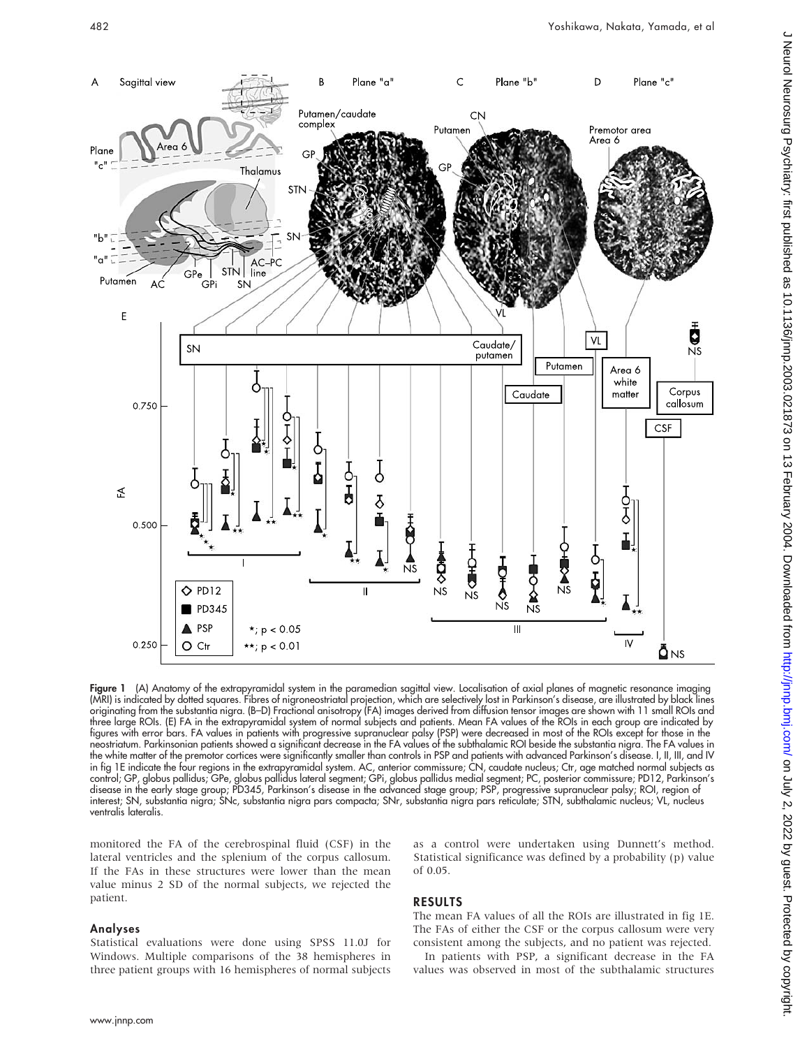

Figure 1 (A) Anatomy of the extrapyramidal system in the paramedian sagittal view. Localisation of axial planes of magnetic resonance imaging (MRI) is indicated by dotted squares. Fibres of nigroneostriatal projection, which are selectively lost in Parkinson's disease, are illustrated by black lines originating from the substantia nigra. (B–D) Fractional anisotropy (FA) images derived from diffusion tensor images are shown with 11 small ROIs and three large ROIs. (E) FA in the extrapyramidal system of normal subjects and patients. Mean FA values of the ROIs in each group are indicated by figures with error bars. FA values in patients with progressive supranuclear palsy (PSP) were decreased in most of the ROIs except for those in the neostriatum. Parkinsonian patients showed a significant decrease in the FA values of the subthalamic ROI beside the substantia nigra. The FA values in the white matter of the premotor cortices were significantly smaller than controls in PSP and patients with advanced Parkinson's disease. I, II, III, and IV in fig 1E indicate the four regions in the extrapyramidal system. AC, anterior commissure; CN, caudate nucleus; Ctr, age matched normal subjects as control; GP, globus pallidus; GPe, globus pallidus lateral segment; GPi, globus pallidus medial segment; PC, posterior commissure; PD12, Parkinson's disease in the early stage group; PD345, Parkinson's disease in the advanced stage group; PSP, progressive supranuclear palsy; ROI, region of interest; SN, substantia nigra; SNc, substantia nigra pars compacta; SNr, substantia nigra pars reticulate; STN, subthalamic nucleus; VL, nucleus ventralis lateralis.

monitored the FA of the cerebrospinal fluid (CSF) in the lateral ventricles and the splenium of the corpus callosum. If the FAs in these structures were lower than the mean value minus 2 SD of the normal subjects, we rejected the patient.

### Analyses

Statistical evaluations were done using SPSS 11.0J for Windows. Multiple comparisons of the 38 hemispheres in three patient groups with 16 hemispheres of normal subjects

as a control were undertaken using Dunnett's method. Statistical significance was defined by a probability (p) value of 0.05.

## RESULTS

The mean FA values of all the ROIs are illustrated in fig 1E. The FAs of either the CSF or the corpus callosum were very consistent among the subjects, and no patient was rejected.

In patients with PSP, a significant decrease in the FA values was observed in most of the subthalamic structures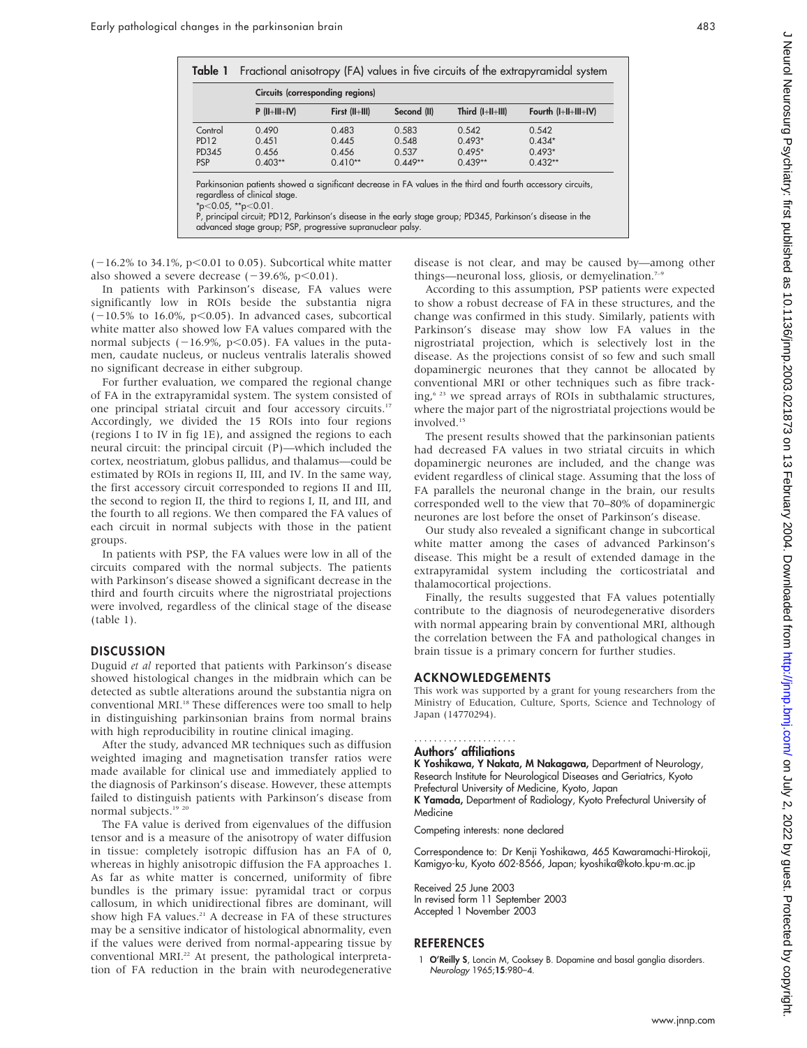|             | Circuits (corresponding regions) |                  |             |                    |                        |
|-------------|----------------------------------|------------------|-------------|--------------------|------------------------|
|             | $P$ (II+III+IV)                  | First $(II+III)$ | Second (II) | Third $(I+II+III)$ | Fourth $(I+II+III+IV)$ |
| Control     | 0.490                            | 0.483            | 0.583       | 0.542              | 0.542                  |
| <b>PD12</b> | 0.451                            | 0.445            | 0.548       | $0.493*$           | $0.434*$               |
| PD345       | 0.456                            | 0.456            | 0.537       | $0.495*$           | $0.493*$               |
| <b>PSP</b>  | $0.403**$                        | $0.410**$        | $0.449**$   | $0.439**$          | $0.432**$              |

P, principal circuit; PD12, Parkinson's disease in the early stage group; PD345, Parkinson's disease in the advanced stage group; PSP, progressive supranuclear palsy.

 $(-16.2\%$  to 34.1%, p<0.01 to 0.05). Subcortical white matter also showed a severe decrease  $(-39.6\%, p<0.01)$ .

In patients with Parkinson's disease, FA values were significantly low in ROIs beside the substantia nigra  $(-10.5\%$  to 16.0%, p<0.05). In advanced cases, subcortical white matter also showed low FA values compared with the normal subjects  $(-16.9\% , p<0.05)$ . FA values in the putamen, caudate nucleus, or nucleus ventralis lateralis showed no significant decrease in either subgroup.

For further evaluation, we compared the regional change of FA in the extrapyramidal system. The system consisted of one principal striatal circuit and four accessory circuits.17 Accordingly, we divided the 15 ROIs into four regions (regions I to IV in fig 1E), and assigned the regions to each neural circuit: the principal circuit (P)—which included the cortex, neostriatum, globus pallidus, and thalamus—could be estimated by ROIs in regions II, III, and IV. In the same way, the first accessory circuit corresponded to regions II and III, the second to region II, the third to regions I, II, and III, and the fourth to all regions. We then compared the FA values of each circuit in normal subjects with those in the patient groups.

In patients with PSP, the FA values were low in all of the circuits compared with the normal subjects. The patients with Parkinson's disease showed a significant decrease in the third and fourth circuits where the nigrostriatal projections were involved, regardless of the clinical stage of the disease (table 1).

# **DISCUSSION**

Duguid et al reported that patients with Parkinson's disease showed histological changes in the midbrain which can be detected as subtle alterations around the substantia nigra on conventional MRI.<sup>18</sup> These differences were too small to help in distinguishing parkinsonian brains from normal brains with high reproducibility in routine clinical imaging.

After the study, advanced MR techniques such as diffusion weighted imaging and magnetisation transfer ratios were made available for clinical use and immediately applied to the diagnosis of Parkinson's disease. However, these attempts failed to distinguish patients with Parkinson's disease from normal subjects.<sup>19 20</sup>

The FA value is derived from eigenvalues of the diffusion tensor and is a measure of the anisotropy of water diffusion in tissue: completely isotropic diffusion has an FA of 0, whereas in highly anisotropic diffusion the FA approaches 1. As far as white matter is concerned, uniformity of fibre bundles is the primary issue: pyramidal tract or corpus callosum, in which unidirectional fibres are dominant, will show high FA values.<sup>21</sup> A decrease in FA of these structures may be a sensitive indicator of histological abnormality, even if the values were derived from normal-appearing tissue by conventional MRI.<sup>22</sup> At present, the pathological interpretation of FA reduction in the brain with neurodegenerative disease is not clear, and may be caused by—among other things—neuronal loss, gliosis, or demyelination.<sup>7-9</sup>

According to this assumption, PSP patients were expected to show a robust decrease of FA in these structures, and the change was confirmed in this study. Similarly, patients with Parkinson's disease may show low FA values in the nigrostriatal projection, which is selectively lost in the disease. As the projections consist of so few and such small dopaminergic neurones that they cannot be allocated by conventional MRI or other techniques such as fibre tracking,<sup>6 23</sup> we spread arrays of ROIs in subthalamic structures, where the major part of the nigrostriatal projections would be involved.15

The present results showed that the parkinsonian patients had decreased FA values in two striatal circuits in which dopaminergic neurones are included, and the change was evident regardless of clinical stage. Assuming that the loss of FA parallels the neuronal change in the brain, our results corresponded well to the view that 70–80% of dopaminergic neurones are lost before the onset of Parkinson's disease.

Our study also revealed a significant change in subcortical white matter among the cases of advanced Parkinson's disease. This might be a result of extended damage in the extrapyramidal system including the corticostriatal and thalamocortical projections.

Finally, the results suggested that FA values potentially contribute to the diagnosis of neurodegenerative disorders with normal appearing brain by conventional MRI, although the correlation between the FA and pathological changes in brain tissue is a primary concern for further studies.

#### ACKNOWLEDGEMENTS

This work was supported by a grant for young researchers from the Ministry of Education, Culture, Sports, Science and Technology of Japan (14770294).

#### Authors' affiliations .....................

K Yoshikawa, Y Nakata, M Nakagawa, Department of Neurology, Research Institute for Neurological Diseases and Geriatrics, Kyoto Prefectural University of Medicine, Kyoto, Japan

K Yamada, Department of Radiology, Kyoto Prefectural University of Medicine

Competing interests: none declared

Correspondence to: Dr Kenji Yoshikawa, 465 Kawaramachi-Hirokoji, Kamigyo-ku, Kyoto 602-8566, Japan; kyoshika@koto.kpu-m.ac.jp

Received 25 June 2003 In revised form 11 September 2003 Accepted 1 November 2003

#### **REFERENCES**

1 O'Reilly S, Loncin M, Cooksey B. Dopamine and basal ganglia disorders. Neurology 1965;15:980–4.